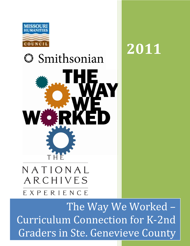

# **Smithsonian** WE THE NATIONAL ARCHIVES

# EXPERIENCE

The Way We Worked – Curriculum Connection for K-2nd Graders in Ste. Genevieve County

**2011**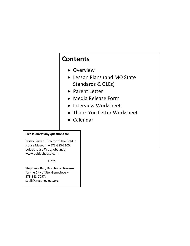# **Contents**

- Overview
- Lesson Plans (and MO State Standards & GLEs)
- Parent Letter
- Media Release Form
- Interview Worksheet
- Thank You Letter Worksheet
- Calendar

#### **Please direct any questions to:**

Lesley Barker, Director of the Bolduc House Museum – 573-883-3105; bolduchouse@sbcglobal.net; www.bolduchouse.com

#### Or to

Stephanie Bell, Director of Tourism for the City of Ste. Genevieve – 573-883-7097; sbell@stegenevieve.org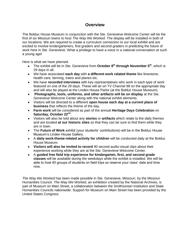#### **Overview**

The Bolduc House Museum in conjunction with the Ste. Genevieve Welcome Center will be the first of six Missouri towns to host *The Way We Worked.* The display will be installed in both of our locations. We are required to create a curriculum connection to our local exhibit and are excited to involve kindergarteners, first graders and second graders in predicting the future of work here in Ste. Genevieve. What a privilege to have a voice in a national conversation at such a young age!

Here is what we have planned.

- The exhibit will be in Ste. Genevieve from **October 8th through November 5th**, which is 29 days in all.
- We have associated **each day** with **a different work related theme** like limestone, health care, farming, trains and planes etc.
- We have **recorded interviews** with key representatives who work in each type of work featured on one of the 29 days. These will air on TV Channel 98 on the appropriate day and will also be played at the Linden House Parlor (at the Bolduc House Museum).
- **Photographs, tools, uniforms, and other artifacts will be on display** at the Ste. Genevieve Welcome Center along with the national exhibit elements.
- Visitors will be directed to a different **open house each day at a current place of business** that reflects the theme of the day.
- **Farm work** will be considered as part of the annual **Heritage Days Celebration** on **Saturday, October 22nd** .
- Visitors will also be told about any **stories** or **artifacts** which relate to the daily themes and are located **at our historic sites** so that they can be sure to find them while they are in town.
- The **Future of Work** exhibit (your students' contributions) will be in the Bolduc House Museum's Linden House Gallery.
- A **daily work-theme-related activity for children** will be conducted daily at the Bolduc House Museum.
- **Visitors will also be invited to record** 90 second audio-visual clips about their experience working while they are at the Ste. Genevieve Welcome Center.
- A **guided free field trip experience for kindergarten, first, and second grade classes** will be available during the weekdays while the exhibit is installed. We will be able to host 40 groups of students on field trips so reserve your class' date and time now.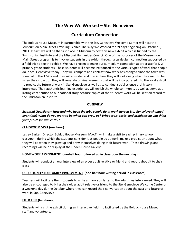## **The Way We Worked – Ste. Genevieve**

### **Curriculum Connection**

The Bolduc House Museum in partnership with the Ste. Genevieve Welcome Center will host the Museum on Main Street Traveling Exhibit: The Way We Worked for 29 days beginning on October 8, 2011. In fact, we will be the first place in Missouri to host this new exhibit which is funded by the Smithsonian Institute and the Missouri Humanities Council. One of the purposes of the Museum on Main Street program is to involve students in the exhibit through a curriculum connection supported by a field trip to see the exhibit. We have chosen to make our curriculum connection appropriate for K-2<sup>nd</sup> primary grade students. These students will become introduced to the various types of work that people do in Ste. Genevieve today. They will compare and contrast how work has changed since the town was founded in the 1740s and they will consider and predict how they will look doing what they want to be when they grow up. They will generate original elements that will be incorporated into the local exhibit to predict the future of work in Ste. Genevieve as well as to conduct social science oral history interviews. Their authentic learning experiences will enrich the whole community as well as serve as a lasting contribution to our national story because copies of the students' work will be kept on record at the Smithsonian Institute.

#### **OVERVIEW**

*Essential Questions* **–** *How and why have the jobs people do at work here in Ste. Genevieve changed over time? What do you want to be when you grow up? What tools, tasks, and problems do you think your future job will entail?*

#### **CLASSROOM VISIT (one hour)**

Lesley Barker (Director Bolduc House Museum, M.A.T.) will make a visit to each primary school classroom during which the students consider jobs people do at work, make a prediction about what they will be when they grow up and draw themselves doing their future work. These drawings and recordings will be on display at the Linden House Gallery.

#### **HOMEWORK ASSIGNMENT (one-half hour followed up in classroom the next day)**

Students will conduct an oral interview of an older adult relative or friend and report about it to their class

#### **OPPORTUNITY FOR FAMILY INVOLVEMENT (one-half hour writing period in classroom)**

Teachers will facilitate their students to write a thank you letter to the adult they interviewed. They will also be encouraged to bring their older adult relative or friend to the Ste. Genevieve Welcome Center on a weekend day during October where they can record their conversation about the past and future of work in Ste. Genevieve

#### **FIELD TRIP (two hours)**

Students will visit the exhibit during an interactive field trip facilitated by the Bolduc House Museum staff and volunteers.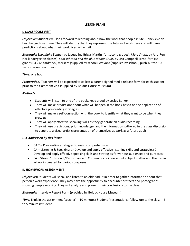#### **LESSON PLANS**

#### **I. CLASSROOM VISIT**

*Objective:* Students will look forward to learning about how the work that people in Ste. Genevieve do has changed over time. They will identify that they represent the future of work here and will make predictions about what their work lives will entail.

*Materials: Snowflake Bentley* by Jacqueline Briggs Martin (for second grades), *Mary Smith*, by A. U'Ren (for kindergarten classes), *Sam Johnson and the Blue Ribbon Quilt*, by Lisa Campbell Ernst (for first grades), 4 x 6" cardstock, markers (supplied by school), crayons (supplied by school), push-button 10 second sound recorders

#### *Time:* one hour

*Preparation:* Teachers will be expected to collect a parent-signed media release form for each student prior to the classroom visit (supplied by Bolduc House Museum)

#### *Methods:*

- Students will listen to one of the books read aloud by Lesley Barker
- They will make predictions about what will happen in the book based on the application of effective pre-reading strategies
- They will make a self-connection with the book to identify what they want to be when they grow up
- They will apply effective speaking skills as they generate an audio recording
- They will use predictions, prior knowledge, and the information gathered in the class discussion  $\bullet$ to generate a visual artistic presentation of themselves at work as a future adult

#### *GLE addressed by this lesson:*

- CA 2 Pre-reading strategies to assist comprehension
- CA Listening & Speaking: 1) Develop and apply effective listening skills and strategies; 2) Develop and apply effective speaking skills and strategies for various audiences and purposes;
- FA Strand 1: Product/Performance 3. Communicate ideas about subject matter and themes in artworks created for various purposes

#### **II. HOMEWORK ASSIGNMENT**

*Objectives:* Students will speak and listen to an older adult in order to gather information about that person's work experience. They may have the opportunity to encounter artifacts and photographs showing people working. They will analyze and present their conclusions to the class.

*Materials:* Interview Report Form (provided by Bolduc House Museum)

*Time:* Explain the assignment (teacher) – 10 minutes; Student Presentations (follow-up) to the class – 2 to 5 minutes/student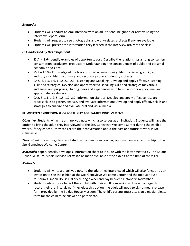#### *Methods:*

- Students will conduct an oral interview with an adult friend, neighbor, or relative using the Interview Report Form
- Students will request to see photographs and work-related artifacts if any are available
- Students will present the information they learned in the interview orally to the class

#### *GLE addressed by this assignment:*

- SS A. 4 1.6- Identify examples of opportunity cost; Describe the relationships among consumers, consumption, producers, production; Understanding the consequences of public and personal economic decisions;
- SS 7 A 1.10 Knowledge of the tools of social science inquiry; Identify visual, graphic, and auditory aids; Identify primary and secondary sources; Identify artifacts
- CA 5, 6, 1.5, 1.6, 1.10, 2.1, 2.3 Listening and Speaking: Develop and apply effective listening skills and strategies; Develop and apply effective speaking skills and strategies for various audiences and purposes; Sharing ideas and experiences with focus, appropriate volume, and appropriate vocabulary
- CA2, 3, 1.1, 1.2, 5, 1.5, 1.7, 2.7- Information Literacy: Develop and apply effective research process skills to gather, analyze, and evaluate information; Develop and apply effective skills and strategies to analyze and evaluate oral and visual media

#### **III. WRITTEN EXPRESSION & OPPORTUNITY FOR FAMILY INVOLVEMENT**

*Objective:* Students will write a thank you note which also serves as an invitation. Students will have the option to bring the adult they interviewed to the Ste. Genevieve Welcome Center during the exhibit where, if they choose, they can record their conversation about the past and future of work in Ste. Genevieve.

*Time:* 45 minute writing class facilitated by the classroom teacher; optional family extension trip to the Ste. Genevieve Welcome Center

*Materials:* paper, pencils, envelopes, information sheet to include with the letter created by The Bolduc House Museum, Media Release Forms (to be made available at the exhibit at the time of the visit)

#### *Methods:*

- Students will write a thank you note to the adult they interviewed which will also function as an invitation to see the exhibit at the Ste. Genevieve Welcome Center and the Bolduc House Museum's Linden House Gallery during a weekend day between October 8-November 5.
- Students who choose to visit the exhibit with their adult companion will be encouraged to record their oral interview. If they elect this option, the adult will need to sign a media release form provided by the Bolduc House Museum. The child's parents must also sign a media release form for the child to be allowed to participate.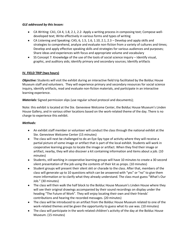#### *GLE addressed by this lesson:*

- CA Writing: CA1, CA 4, 1.8, 2.1, 2.2- Apply a writing process in composing text; Compose welldeveloped text; Write effectively in various forms and types of writing
- CA Listening and Speaking: CA5, 6, 1.5, 1.6, 1.10, 2.1, 2.3 Develop and apply skills and strategies to comprehend, analyze and evaluate non-fiction from a variety of cultures and times; Develop and apply effective speaking skills and strategies for various audiences and purposes; Share ideas and experiences with focus and appropriate volume and vocabulary
- SS Concept 7: Knowledge of the use of the tools of social science inquiry Identify visual, graphic, and auditory aids; identify primary and secondary sources; Identify artifacts

#### **IV. FIELD TRIP (two hours)**

*Objective:* Students will visit the exhibit during an interactive field trip facilitated by the Bolduc House Museum staff and volunteers. They will experience primary and secondary resources for social science inquiry, identify artifacts, read and evaluate non-fiction materials, and participate in an interactive learning experience.

*Materials:* Signed permission slips (use regular school protocol and documents);

Note: this exhibit is located at the Ste. Genevieve Welcome Center, the Bolduc House Museum's Linden House Gallery, and in various other locations based on the work-related theme of the day. There is no charge to experience this exhibit.

#### *Methods:*

- An exhibit staff member or volunteer will conduct the class through the national exhibit at the Ste. Genevieve Welcome Center (15 minutes)
- The class will next be challenged to do an Eye-Spy type of activity where they will receive a partial picture of some image or artifact that is part of the local exhibit. Students will work in cooperative learning groups to locate the image or artifact. When they find their image or artifact, nearby, they will also discover a kit containing information and items about a job. (10 minutes)
- Students, still working in cooperative learning groups will have 10 minutes to create a 30 second silent presentation of the job using the contents of their kit as props. (10 minutes)
- Student groups will present their silent skit or charade to the class. After that, members of the class will generate up to 10 questions which can be answered with "yes" or "no" to give them more information or to clarify what they already understand. The class must guess "What's Our Job." (30 minutes)
- The class will then walk the half block to the Bolduc House Museum's Linden House where they will see their original drawings accompanied by their sound recordings on display under the heading "The Future of Work". They will enjoy locating their own and their friends' contributions and hearing the recorded messages. (20 minutes)
- The class will be introduced to an artifact from the Bolduc House Museum related to one of the work-related themes and be given the opportunity to guess what its use was. (10 minutes)
- The class will participate in the work-related children's activity of the day at the Bolduc House Museum. (15 minutes)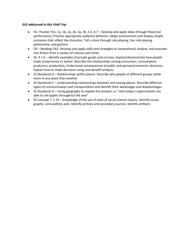#### *GLE addressed in this Field Trip:*

- FA- Theater FA1, 1a, 1b, 2a, 2b, 3a, 3b, 4.3, 4.7 Develop and apply ideas through theatrical performance; Practice appropriate audience behavior; Adapt environment and display simple costumes that reflect the character; Tell a story through role playing; Use role playing, pantomime, and gesture
- CA Reading CA3- Develop and apply skills and strategies to comprehend, analyze, and evaluate non-fiction from a variety of cultures and times
- SS- 4 1.6 Identify examples of private goods and services; Explain/demonstrate how people trade using money or barter; Describe the relationships among consumers, consumption, producers, production; Understand consequences of public and personal economic decisions; Explain how to make decisions using cost-benefit analysis;
- SS Standards D Relationships within places: Describe why people of different groups settle more in one place than another
- SS Standards E Understanding relationships between and among places: Describe different types of communication and transportation and identify their advantages and disadvantages
- SS Standards G Using geography to explain the present i.e. "why today's supermarkets are able to sell apples throughout the year"
- SS Concept 7, 1.10 Knowledge of the use of tools of social science inquiry: Identify visual, graphic, and auditory aids; Identify primary and secondary sources; Identify artifacts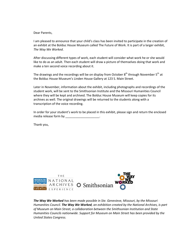#### Dear Parents,

I am pleased to announce that your child's class has been invited to participate in the creation of an exhibit at the Bolduc House Museum called The Future of Work. It is part of a larger exhibit, *The Way We Worked*.

After discussing different types of work, each student will consider what work he or she would like to do as an adult. Then each student will draw a picture of themselves doing that work and make a ten second voice recording about it.

The drawings and the recordings will be on display from October  $8<sup>th</sup>$  through November  $5<sup>th</sup>$  at the Bolduc House Museum's Linden House Gallery at 123 S. Main Street.

Later in November, information about the exhibit, including photographs and recordings of the student work, will be sent to the Smithsonian Institute and the Missouri Humanities Council where they will be kept and archived. The Bolduc House Museum will keep copies for its archives as well. The original drawings will be returned to the students along with a transcription of the voice recording.

In order for your student's work to be placed in this exhibit, please sign and return the enclosed media release form by \_\_\_\_\_\_\_\_\_\_\_\_\_\_\_

Thank you,

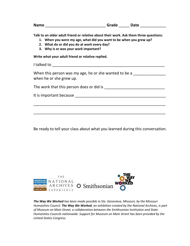| Name Camera Contractor Contractor Contractor Contractor Contractor Contractor Contractor Contractor Contractor                                                                                                                                      |
|-----------------------------------------------------------------------------------------------------------------------------------------------------------------------------------------------------------------------------------------------------|
| Talk to an older adult friend or relative about their work. Ask them three questions:<br>1. When you were my age, what did you want to be when you grew up?<br>2. What do or did you do at work every day?<br>3. Why is or was your work important? |
| Write what your adult friend or relative replied.                                                                                                                                                                                                   |
|                                                                                                                                                                                                                                                     |
| When this person was my age, he or she wanted to be a<br>when he or she grew up.                                                                                                                                                                    |
|                                                                                                                                                                                                                                                     |
|                                                                                                                                                                                                                                                     |
|                                                                                                                                                                                                                                                     |
|                                                                                                                                                                                                                                                     |
|                                                                                                                                                                                                                                                     |

Be ready to tell your class about what you learned during this conversation.